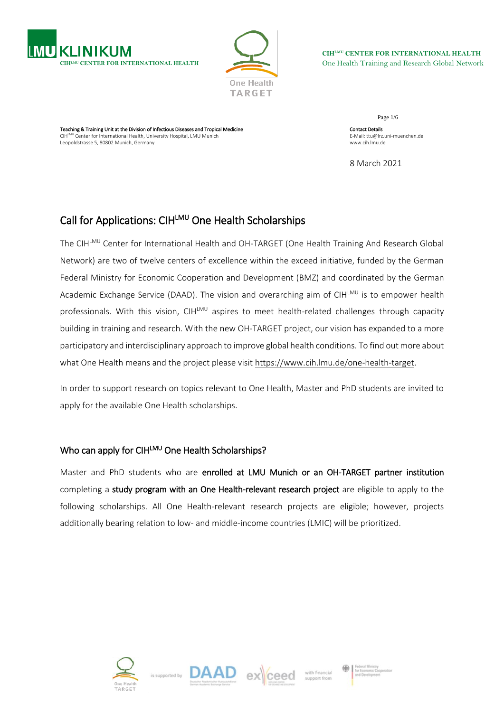



**CIHLMU CENTER FOR INTERNATIONAL HEALTH** One Health Training and Research Global Network

Teaching & Training Unit at the Division of Infectious Diseases and Tropical Medicine CIH<sup>LMU</sup> Center for International Health, University Hospital, LMU Munich Leopoldstrasse 5, 80802 Munich, Germany

Page 1/6 Contact Details E-Mail: ttu@lrz.uni-muenchen.de www.cih.lmu.de

8 March 2021

# Call for Applications: CIHLMU One HealthScholarships

The CIHLMU Center for International Health and OH-TARGET (One Health Training And Research Global Network) are two of twelve centers of excellence within the exceed initiative, funded by the German Federal Ministry for Economic Cooperation and Development (BMZ) and coordinated by the German Academic Exchange Service (DAAD). The vision and overarching aim of CIHLMU is to empower health professionals. With this vision, CIHLMU aspires to meet health-related challenges through capacity building in training and research. With the new OH-TARGET project, our vision has expanded to a more participatory and interdisciplinary approach to improve global health conditions. To find out more about what One Health means and the project please visit [https://www.cih.lmu.de/one-health-target.](https://www.cih.lmu.de/one-health-target)

In order to support research on topics relevant to One Health, Master and PhD students are invited to apply for the available One Health scholarships.

# Who can apply for CIHLMU One Health Scholarships?

Master and PhD students who are enrolled at LMU Munich or an OH-TARGET partner institution completing a study program with an One Health-relevant research project are eligible to apply to the following scholarships. All One Health-relevant research projects are eligible; however, projects additionally bearing relation to low- and middle-income countries (LMIC) will be prioritized.







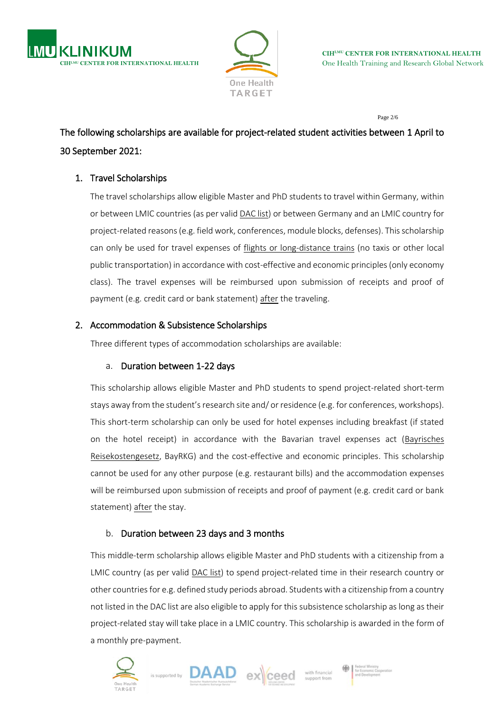



Page 2/6

# The following scholarships are available for project-related student activities between 1 April to 30 September 2021:

# 1. Travel Scholarships

The travel scholarships allow eligible Master and PhD students to travel within Germany, within or between LMIC countries (as per valid **DAC list)** or between Germany and an LMIC country for project-related reasons (e.g. field work, conferences, module blocks, defenses). This scholarship can only be used for travel expenses of flights or long-distance trains (no taxis or other local public transportation) in accordance with cost-effective and economic principles (only economy class). The travel expenses will be reimbursed upon submission of receipts and proof of payment (e.g. credit card or bank statement) after the traveling.

## 2. Accommodation & Subsistence Scholarships

Three different types of accommodation scholarships are available:

## a. Duration between 1-22 days

This scholarship allows eligible Master and PhD students to spend project-related short-term stays away from the student's research site and/ or residence (e.g. for conferences, workshops). This short-term scholarship can only be used for hotel expenses including breakfast (if stated on the hotel receipt) in accordance with the Bavarian travel expenses act (Bayrisches [Reisekostengesetz,](https://www.gesetze-bayern.de/Content/Document/BayRKG) BayRKG) and the cost-effective and economic principles. This scholarship cannot be used for any other purpose (e.g. restaurant bills) and the accommodation expenses will be reimbursed upon submission of receipts and proof of payment (e.g. credit card or bank statement) after the stay.

# b. Duration between 23 days and 3 months

This middle-term scholarship allows eligible Master and PhD students with a citizenship from a LMIC country (as per valid [DAC list\)](http://www.oecd.org/dac/financing-sustainable-development/development-finance-standards/DAC-List-ODA-Recipients-for-reporting-2021-flows.pdf) to spend project-related time in their research country or other countriesfor e.g. defined study periods abroad. Students with a citizenship from a country not listed in the DAC list are also eligible to apply for this subsistence scholarship as long as their project-related stay will take place in a LMIC country. This scholarship is awarded in the form of a monthly pre-payment.





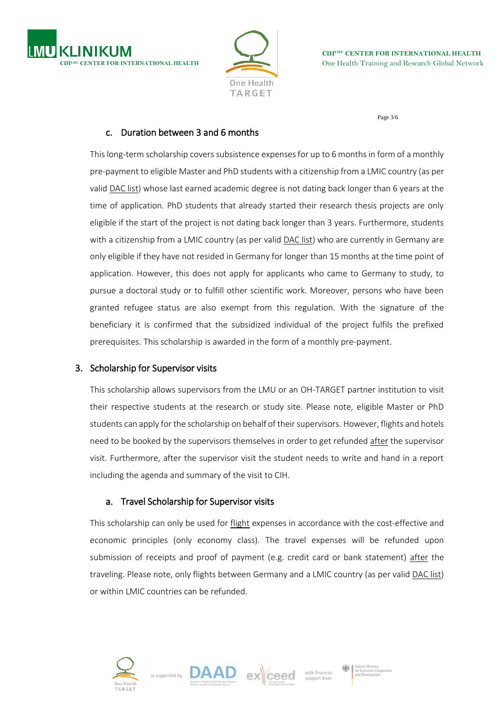



Page 3/6

#### c. Duration between 3 and 6 months

This long-term scholarship covers subsistence expenses for up to 6 months in form of a monthly pre-payment to eligible Master and PhD students with a citizenship from a LMIC country (as per valid [DAC list\)](http://www.oecd.org/dac/financing-sustainable-development/development-finance-standards/DAC-List-ODA-Recipients-for-reporting-2021-flows.pdf) whose last earned academic degree is not dating back longer than 6 years at the time of application. PhD students that already started their research thesis projects are only eligible if the start of the project is not dating back longer than 3 years. Furthermore, students with a citizenship from a LMIC country (as per valid [DAC list\)](http://www.oecd.org/dac/financing-sustainable-development/development-finance-standards/DAC-List-ODA-Recipients-for-reporting-2021-flows.pdf) who are currently in Germany are only eligible if they have not resided in Germany for longer than 15 months at the time point of application. However, this does not apply for applicants who came to Germany to study, to pursue a doctoral study or to fulfill other scientific work. Moreover, persons who have been granted refugee status are also exempt from this regulation. With the signature of the beneficiary it is confirmed that the subsidized individual of the project fulfils the prefixed prerequisites. This scholarship is awarded in the form of a monthly pre-payment.

#### 3. Scholarship for Supervisor visits

This scholarship allows supervisors from the LMU or an OH-TARGET partner institution to visit their respective students at the research or study site. Please note, eligible Master or PhD students can apply for the scholarship on behalf of their supervisors. However, flights and hotels need to be booked by the supervisors themselves in order to get refunded after the supervisor visit. Furthermore, after the supervisor visit the student needs to write and hand in a report including the agenda and summary of the visit to CIH.

#### a. Travel Scholarship for Supervisor visits

This scholarship can only be used for flight expenses in accordance with the cost-effective and economic principles (only economy class). The travel expenses will be refunded upon submission of receipts and proof of payment (e.g. credit card or bank statement) after the traveling. Please note, only flights between Germany and a LMIC country (as per valid [DAC list\)](http://www.oecd.org/dac/financing-sustainable-development/development-finance-standards/DAC-List-ODA-Recipients-for-reporting-2021-flows.pdf) or within LMIC countries can be refunded.

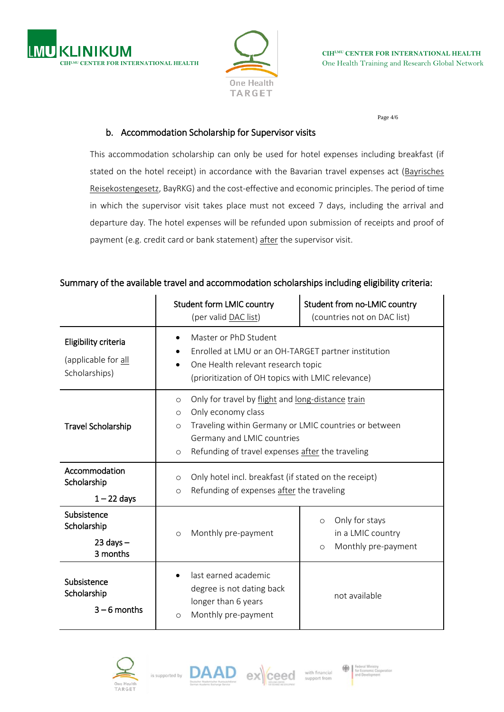



Page 4/6

### b. Accommodation Scholarship for Supervisor visits

This accommodation scholarship can only be used for hotel expenses including breakfast (if stated on the hotel receipt) in accordance with the Bavarian travel expenses act [\(Bayrisches](https://www.gesetze-bayern.de/Content/Document/BayRKG)  [Reisekostengesetz,](https://www.gesetze-bayern.de/Content/Document/BayRKG) BayRKG) and the cost-effective and economic principles. The period of time in which the supervisor visit takes place must not exceed 7 days, including the arrival and departure day. The hotel expenses will be refunded upon submission of receipts and proof of payment (e.g. credit card or bank statement) after the supervisor visit.

## Summary of the available travel and accommodation scholarships including eligibility criteria:

|                                                              | <b>Student form LMIC country</b><br>(per valid DAC list)                                                                                                                                              | Student from no-LMIC country<br>(countries not on DAC list)                                        |  |
|--------------------------------------------------------------|-------------------------------------------------------------------------------------------------------------------------------------------------------------------------------------------------------|----------------------------------------------------------------------------------------------------|--|
| Eligibility criteria<br>(applicable for all<br>Scholarships) | Master or PhD Student<br>٠<br>Enrolled at LMU or an OH-TARGET partner institution<br>$\bullet$<br>One Health relevant research topic<br>(prioritization of OH topics with LMIC relevance)             |                                                                                                    |  |
| <b>Travel Scholarship</b>                                    | Only for travel by flight and long-distance train<br>$\circ$<br>Only economy class<br>$\circ$<br>$\circ$<br>Germany and LMIC countries<br>Refunding of travel expenses after the traveling<br>$\circ$ | Traveling within Germany or LMIC countries or between                                              |  |
| Accommodation<br>Scholarship<br>$1 - 22$ days                | $\circ$<br>$\circ$                                                                                                                                                                                    | Only hotel incl. breakfast (if stated on the receipt)<br>Refunding of expenses after the traveling |  |
| Subsistence<br>Scholarship<br>$23$ days $-$<br>3 months      | Monthly pre-payment<br>$\circ$                                                                                                                                                                        | Only for stays<br>$\circ$<br>in a LMIC country<br>Monthly pre-payment<br>$\circ$                   |  |
| Subsistence<br>Scholarship<br>$3 - 6$ months                 | last earned academic<br>degree is not dating back<br>longer than 6 years<br>Monthly pre-payment<br>$\circ$                                                                                            | not available                                                                                      |  |





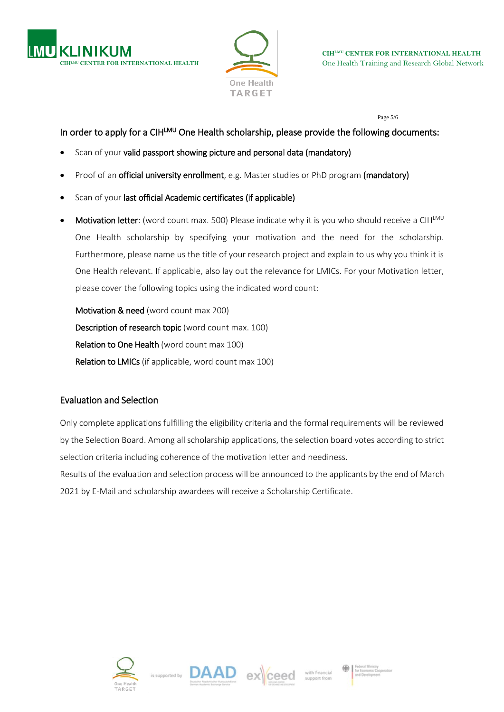



Page 5/6

# In order to apply for a CIH<sup>LMU</sup> One Health scholarship, please provide the following documents:

- Scan of your valid passport showing picture and personal data (mandatory)
- Proof of an **official university enrollment**, e.g. Master studies or PhD program (mandatory)
- Scan of your last official Academic certificates (if applicable)
- Motivation letter: (word count max. 500) Please indicate why it is you who should receive a CIHLMU One Health scholarship by specifying your motivation and the need for the scholarship. Furthermore, please name us the title of your research project and explain to us why you think it is One Health relevant. If applicable, also lay out the relevance for LMICs. For your Motivation letter, please cover the following topics using the indicated word count:

Motivation & need (word count max 200) Description of research topic (word count max. 100) Relation to One Health (word count max 100) Relation to LMICs (if applicable, word count max 100)

# Evaluation and Selection

Only complete applications fulfilling the eligibility criteria and the formal requirements will be reviewed by the Selection Board. Among all scholarship applications, the selection board votes according to strict selection criteria including coherence of the motivation letter and neediness.

Results of the evaluation and selection process will be announced to the applicants by the end of March 2021 by E-Mail and scholarship awardees will receive a Scholarship Certificate.